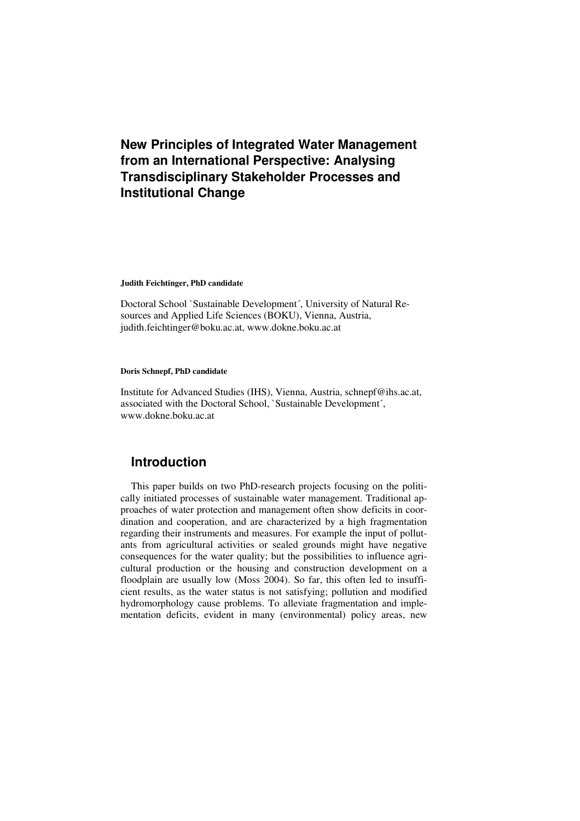# **New Principles of Integrated Water Management from an International Perspective: Analysing Transdisciplinary Stakeholder Processes and Institutional Change**

#### **Judith Feichtinger, PhD candidate**

Doctoral School `Sustainable Development´, University of Natural Resources and Applied Life Sciences (BOKU), Vienna, Austria, judith.feichtinger@boku.ac.at, www.dokne.boku.ac.at

#### **Doris Schnepf, PhD candidate**

Institute for Advanced Studies (IHS), Vienna, Austria, schnepf@ihs.ac.at, associated with the Doctoral School, `Sustainable Development´, www.dokne.boku.ac.at

### **Introduction**

This paper builds on two PhD-research projects focusing on the politically initiated processes of sustainable water management. Traditional approaches of water protection and management often show deficits in coordination and cooperation, and are characterized by a high fragmentation regarding their instruments and measures. For example the input of pollutants from agricultural activities or sealed grounds might have negative consequences for the water quality; but the possibilities to influence agricultural production or the housing and construction development on a floodplain are usually low (Moss 2004). So far, this often led to insufficient results, as the water status is not satisfying; pollution and modified hydromorphology cause problems. To alleviate fragmentation and implementation deficits, evident in many (environmental) policy areas, new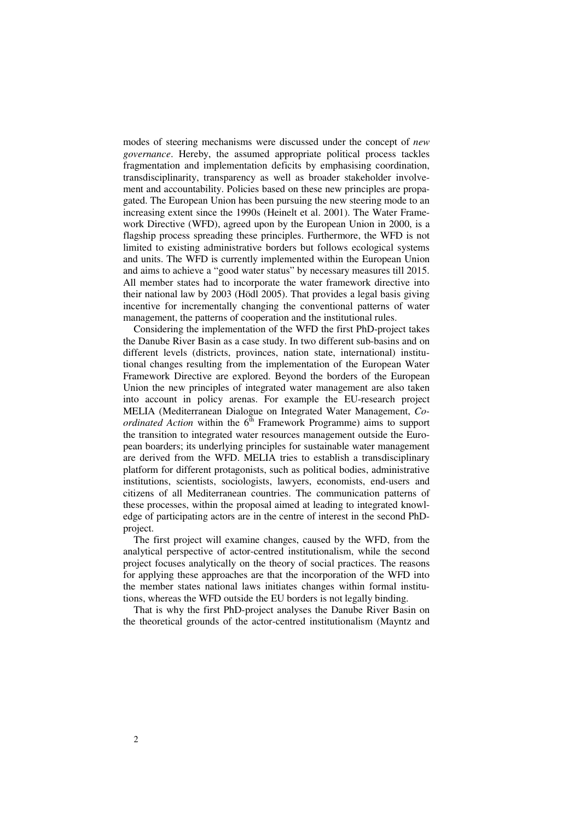modes of steering mechanisms were discussed under the concept of *new governance*. Hereby, the assumed appropriate political process tackles fragmentation and implementation deficits by emphasising coordination, transdisciplinarity, transparency as well as broader stakeholder involvement and accountability. Policies based on these new principles are propagated. The European Union has been pursuing the new steering mode to an increasing extent since the 1990s (Heinelt et al. 2001). The Water Framework Directive (WFD), agreed upon by the European Union in 2000, is a flagship process spreading these principles. Furthermore, the WFD is not limited to existing administrative borders but follows ecological systems and units. The WFD is currently implemented within the European Union and aims to achieve a "good water status" by necessary measures till 2015. All member states had to incorporate the water framework directive into their national law by 2003 (Hödl 2005). That provides a legal basis giving incentive for incrementally changing the conventional patterns of water management, the patterns of cooperation and the institutional rules.

Considering the implementation of the WFD the first PhD-project takes the Danube River Basin as a case study. In two different sub-basins and on different levels (districts, provinces, nation state, international) institutional changes resulting from the implementation of the European Water Framework Directive are explored. Beyond the borders of the European Union the new principles of integrated water management are also taken into account in policy arenas. For example the EU-research project MELIA (Mediterranean Dialogue on Integrated Water Management, *Coordinated Action* within the  $6<sup>th</sup>$  Framework Programme) aims to support the transition to integrated water resources management outside the European boarders; its underlying principles for sustainable water management are derived from the WFD. MELIA tries to establish a transdisciplinary platform for different protagonists, such as political bodies, administrative institutions, scientists, sociologists, lawyers, economists, end-users and citizens of all Mediterranean countries. The communication patterns of these processes, within the proposal aimed at leading to integrated knowledge of participating actors are in the centre of interest in the second PhDproject.

The first project will examine changes, caused by the WFD, from the analytical perspective of actor-centred institutionalism, while the second project focuses analytically on the theory of social practices. The reasons for applying these approaches are that the incorporation of the WFD into the member states national laws initiates changes within formal institutions, whereas the WFD outside the EU borders is not legally binding.

That is why the first PhD-project analyses the Danube River Basin on the theoretical grounds of the actor-centred institutionalism (Mayntz and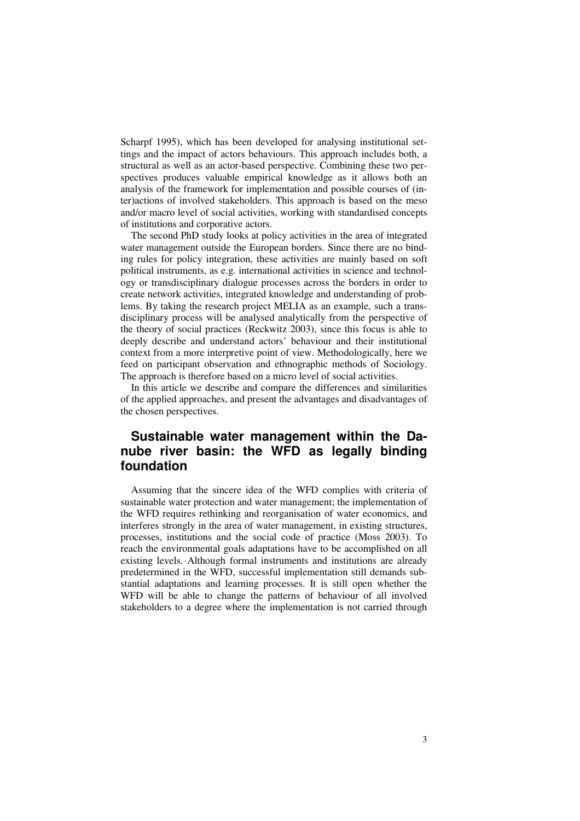Scharpf 1995), which has been developed for analysing institutional settings and the impact of actors behaviours. This approach includes both, a structural as well as an actor-based perspective. Combining these two perspectives produces valuable empirical knowledge as it allows both an analysis of the framework for implementation and possible courses of (inter)actions of involved stakeholders. This approach is based on the meso and/or macro level of social activities, working with standardised concepts of institutions and corporative actors.

The second PhD study looks at policy activities in the area of integrated water management outside the European borders. Since there are no binding rules for policy integration, these activities are mainly based on soft political instruments, as e.g. international activities in science and technology or transdisciplinary dialogue processes across the borders in order to create network activities, integrated knowledge and understanding of problems. By taking the research project MELIA as an example, such a transdisciplinary process will be analysed analytically from the perspective of the theory of social practices (Reckwitz 2003), since this focus is able to deeply describe and understand actors' behaviour and their institutional context from a more interpretive point of view. Methodologically, here we feed on participant observation and ethnographic methods of Sociology. The approach is therefore based on a micro level of social activities.

In this article we describe and compare the differences and similarities of the applied approaches, and present the advantages and disadvantages of the chosen perspectives.

## **Sustainable water management within the Danube river basin: the WFD as legally binding foundation**

Assuming that the sincere idea of the WFD complies with criteria of sustainable water protection and water management; the implementation of the WFD requires rethinking and reorganisation of water economics, and interferes strongly in the area of water management, in existing structures, processes, institutions and the social code of practice (Moss 2003). To reach the environmental goals adaptations have to be accomplished on all existing levels. Although formal instruments and institutions are already predetermined in the WFD, successful implementation still demands substantial adaptations and learning processes. It is still open whether the WFD will be able to change the patterns of behaviour of all involved stakeholders to a degree where the implementation is not carried through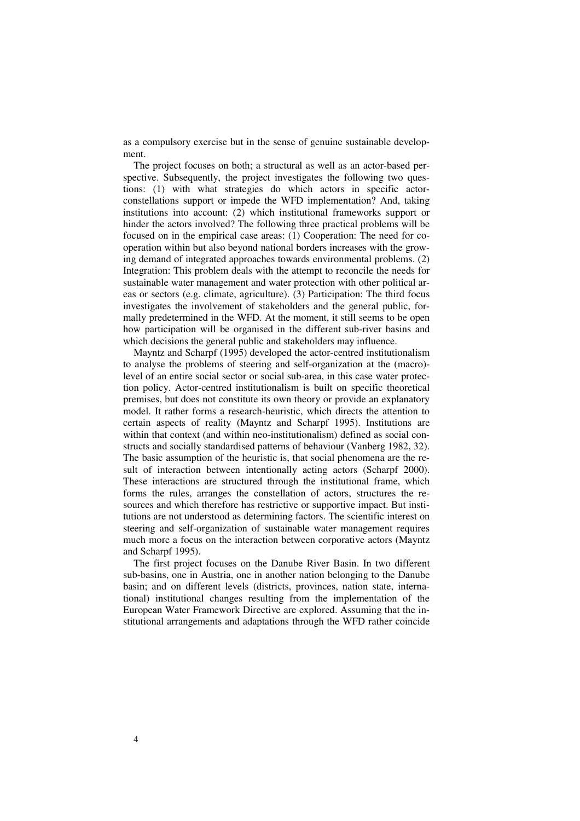as a compulsory exercise but in the sense of genuine sustainable development.

The project focuses on both; a structural as well as an actor-based perspective. Subsequently, the project investigates the following two questions: (1) with what strategies do which actors in specific actorconstellations support or impede the WFD implementation? And, taking institutions into account: (2) which institutional frameworks support or hinder the actors involved? The following three practical problems will be focused on in the empirical case areas: (1) Cooperation: The need for cooperation within but also beyond national borders increases with the growing demand of integrated approaches towards environmental problems. (2) Integration: This problem deals with the attempt to reconcile the needs for sustainable water management and water protection with other political areas or sectors (e.g. climate, agriculture). (3) Participation: The third focus investigates the involvement of stakeholders and the general public, formally predetermined in the WFD. At the moment, it still seems to be open how participation will be organised in the different sub-river basins and which decisions the general public and stakeholders may influence.

Mayntz and Scharpf (1995) developed the actor-centred institutionalism to analyse the problems of steering and self-organization at the (macro) level of an entire social sector or social sub-area, in this case water protection policy. Actor-centred institutionalism is built on specific theoretical premises, but does not constitute its own theory or provide an explanatory model. It rather forms a research-heuristic, which directs the attention to certain aspects of reality (Mayntz and Scharpf 1995). Institutions are within that context (and within neo-institutionalism) defined as social constructs and socially standardised patterns of behaviour (Vanberg 1982, 32). The basic assumption of the heuristic is, that social phenomena are the result of interaction between intentionally acting actors (Scharpf 2000). These interactions are structured through the institutional frame, which forms the rules, arranges the constellation of actors, structures the resources and which therefore has restrictive or supportive impact. But institutions are not understood as determining factors. The scientific interest on steering and self-organization of sustainable water management requires much more a focus on the interaction between corporative actors (Mayntz and Scharpf 1995).

The first project focuses on the Danube River Basin. In two different sub-basins, one in Austria, one in another nation belonging to the Danube basin; and on different levels (districts, provinces, nation state, international) institutional changes resulting from the implementation of the European Water Framework Directive are explored. Assuming that the institutional arrangements and adaptations through the WFD rather coincide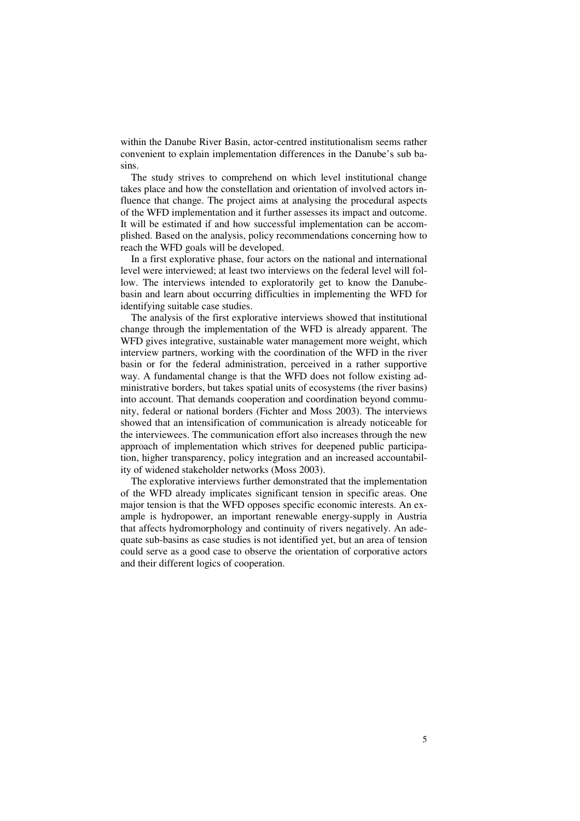within the Danube River Basin, actor-centred institutionalism seems rather convenient to explain implementation differences in the Danube's sub basins.

The study strives to comprehend on which level institutional change takes place and how the constellation and orientation of involved actors influence that change. The project aims at analysing the procedural aspects of the WFD implementation and it further assesses its impact and outcome. It will be estimated if and how successful implementation can be accomplished. Based on the analysis, policy recommendations concerning how to reach the WFD goals will be developed.

In a first explorative phase, four actors on the national and international level were interviewed; at least two interviews on the federal level will follow. The interviews intended to exploratorily get to know the Danubebasin and learn about occurring difficulties in implementing the WFD for identifying suitable case studies.

The analysis of the first explorative interviews showed that institutional change through the implementation of the WFD is already apparent. The WFD gives integrative, sustainable water management more weight, which interview partners, working with the coordination of the WFD in the river basin or for the federal administration, perceived in a rather supportive way. A fundamental change is that the WFD does not follow existing administrative borders, but takes spatial units of ecosystems (the river basins) into account. That demands cooperation and coordination beyond community, federal or national borders (Fichter and Moss 2003). The interviews showed that an intensification of communication is already noticeable for the interviewees. The communication effort also increases through the new approach of implementation which strives for deepened public participation, higher transparency, policy integration and an increased accountability of widened stakeholder networks (Moss 2003).

The explorative interviews further demonstrated that the implementation of the WFD already implicates significant tension in specific areas. One major tension is that the WFD opposes specific economic interests. An example is hydropower, an important renewable energy-supply in Austria that affects hydromorphology and continuity of rivers negatively. An adequate sub-basins as case studies is not identified yet, but an area of tension could serve as a good case to observe the orientation of corporative actors and their different logics of cooperation.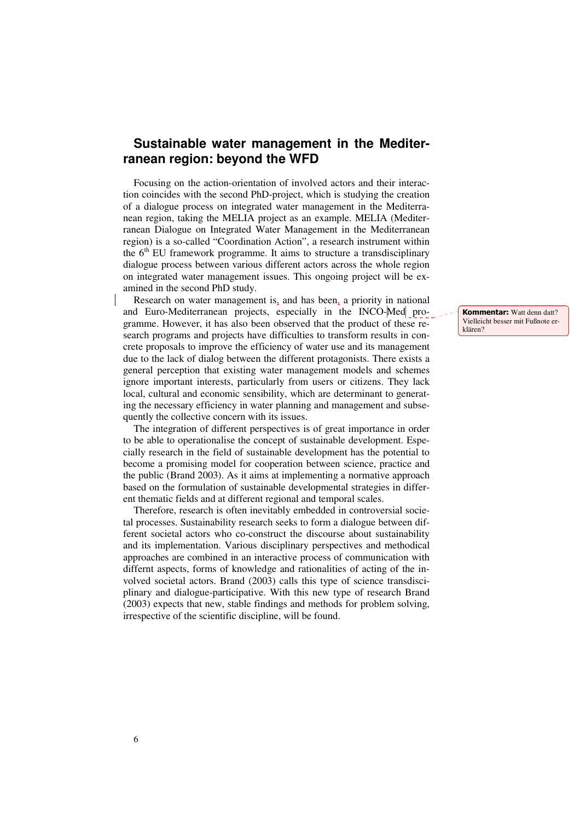### **Sustainable water management in the Mediterranean region: beyond the WFD**

Focusing on the action-orientation of involved actors and their interaction coincides with the second PhD-project, which is studying the creation of a dialogue process on integrated water management in the Mediterranean region, taking the MELIA project as an example. MELIA (Mediterranean Dialogue on Integrated Water Management in the Mediterranean region) is a so-called "Coordination Action", a research instrument within the  $6<sup>th</sup>$  EU framework programme. It aims to structure a transdisciplinary dialogue process between various different actors across the whole region on integrated water management issues. This ongoing project will be examined in the second PhD study.

Research on water management is, and has been, a priority in national and Euro-Mediterranean projects, especially in the INCO-Med programme. However, it has also been observed that the product of these research programs and projects have difficulties to transform results in concrete proposals to improve the efficiency of water use and its management due to the lack of dialog between the different protagonists. There exists a general perception that existing water management models and schemes ignore important interests, particularly from users or citizens. They lack local, cultural and economic sensibility, which are determinant to generating the necessary efficiency in water planning and management and subsequently the collective concern with its issues.

The integration of different perspectives is of great importance in order to be able to operationalise the concept of sustainable development. Especially research in the field of sustainable development has the potential to become a promising model for cooperation between science, practice and the public (Brand 2003). As it aims at implementing a normative approach based on the formulation of sustainable developmental strategies in different thematic fields and at different regional and temporal scales.

Therefore, research is often inevitably embedded in controversial societal processes. Sustainability research seeks to form a dialogue between different societal actors who co-construct the discourse about sustainability and its implementation. Various disciplinary perspectives and methodical approaches are combined in an interactive process of communication with differnt aspects, forms of knowledge and rationalities of acting of the involved societal actors. Brand (2003) calls this type of science transdisciplinary and dialogue-participative. With this new type of research Brand (2003) expects that new, stable findings and methods for problem solving, irrespective of the scientific discipline, will be found.

Kommentar: Watt denn datt? Vielleicht besser mit Fußnote erklären?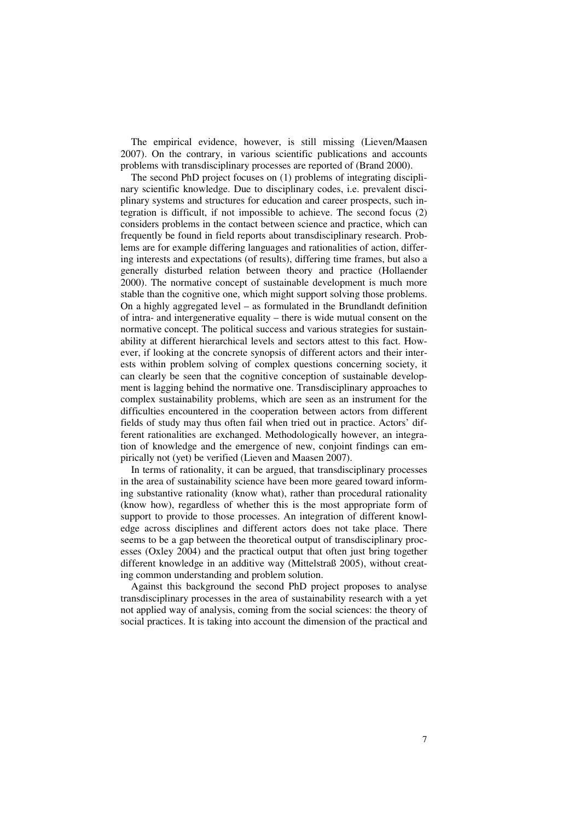The empirical evidence, however, is still missing (Lieven/Maasen 2007). On the contrary, in various scientific publications and accounts problems with transdisciplinary processes are reported of (Brand 2000).

The second PhD project focuses on (1) problems of integrating disciplinary scientific knowledge. Due to disciplinary codes, i.e. prevalent disciplinary systems and structures for education and career prospects, such integration is difficult, if not impossible to achieve. The second focus (2) considers problems in the contact between science and practice, which can frequently be found in field reports about transdisciplinary research. Problems are for example differing languages and rationalities of action, differing interests and expectations (of results), differing time frames, but also a generally disturbed relation between theory and practice (Hollaender 2000). The normative concept of sustainable development is much more stable than the cognitive one, which might support solving those problems. On a highly aggregated level – as formulated in the Brundlandt definition of intra- and intergenerative equality – there is wide mutual consent on the normative concept. The political success and various strategies for sustainability at different hierarchical levels and sectors attest to this fact. However, if looking at the concrete synopsis of different actors and their interests within problem solving of complex questions concerning society, it can clearly be seen that the cognitive conception of sustainable development is lagging behind the normative one. Transdisciplinary approaches to complex sustainability problems, which are seen as an instrument for the difficulties encountered in the cooperation between actors from different fields of study may thus often fail when tried out in practice. Actors' different rationalities are exchanged. Methodologically however, an integration of knowledge and the emergence of new, conjoint findings can empirically not (yet) be verified (Lieven and Maasen 2007).

In terms of rationality, it can be argued, that transdisciplinary processes in the area of sustainability science have been more geared toward informing substantive rationality (know what), rather than procedural rationality (know how), regardless of whether this is the most appropriate form of support to provide to those processes. An integration of different knowledge across disciplines and different actors does not take place. There seems to be a gap between the theoretical output of transdisciplinary processes (Oxley 2004) and the practical output that often just bring together different knowledge in an additive way (Mittelstraß 2005), without creating common understanding and problem solution.

Against this background the second PhD project proposes to analyse transdisciplinary processes in the area of sustainability research with a yet not applied way of analysis, coming from the social sciences: the theory of social practices. It is taking into account the dimension of the practical and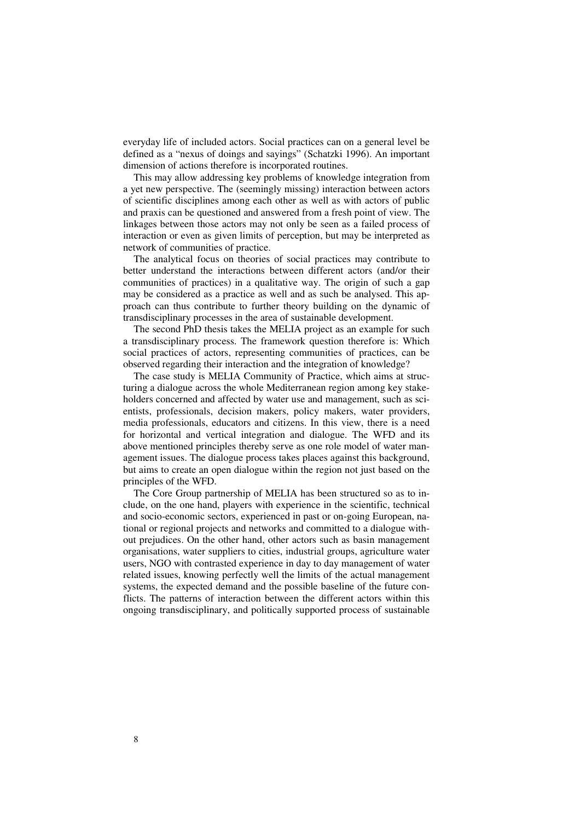everyday life of included actors. Social practices can on a general level be defined as a "nexus of doings and sayings" (Schatzki 1996). An important dimension of actions therefore is incorporated routines.

This may allow addressing key problems of knowledge integration from a yet new perspective. The (seemingly missing) interaction between actors of scientific disciplines among each other as well as with actors of public and praxis can be questioned and answered from a fresh point of view. The linkages between those actors may not only be seen as a failed process of interaction or even as given limits of perception, but may be interpreted as network of communities of practice.

The analytical focus on theories of social practices may contribute to better understand the interactions between different actors (and/or their communities of practices) in a qualitative way. The origin of such a gap may be considered as a practice as well and as such be analysed. This approach can thus contribute to further theory building on the dynamic of transdisciplinary processes in the area of sustainable development.

The second PhD thesis takes the MELIA project as an example for such a transdisciplinary process. The framework question therefore is: Which social practices of actors, representing communities of practices, can be observed regarding their interaction and the integration of knowledge?

The case study is MELIA Community of Practice, which aims at structuring a dialogue across the whole Mediterranean region among key stakeholders concerned and affected by water use and management, such as scientists, professionals, decision makers, policy makers, water providers, media professionals, educators and citizens. In this view, there is a need for horizontal and vertical integration and dialogue. The WFD and its above mentioned principles thereby serve as one role model of water management issues. The dialogue process takes places against this background, but aims to create an open dialogue within the region not just based on the principles of the WFD.

The Core Group partnership of MELIA has been structured so as to include, on the one hand, players with experience in the scientific, technical and socio-economic sectors, experienced in past or on-going European, national or regional projects and networks and committed to a dialogue without prejudices. On the other hand, other actors such as basin management organisations, water suppliers to cities, industrial groups, agriculture water users, NGO with contrasted experience in day to day management of water related issues, knowing perfectly well the limits of the actual management systems, the expected demand and the possible baseline of the future conflicts. The patterns of interaction between the different actors within this ongoing transdisciplinary, and politically supported process of sustainable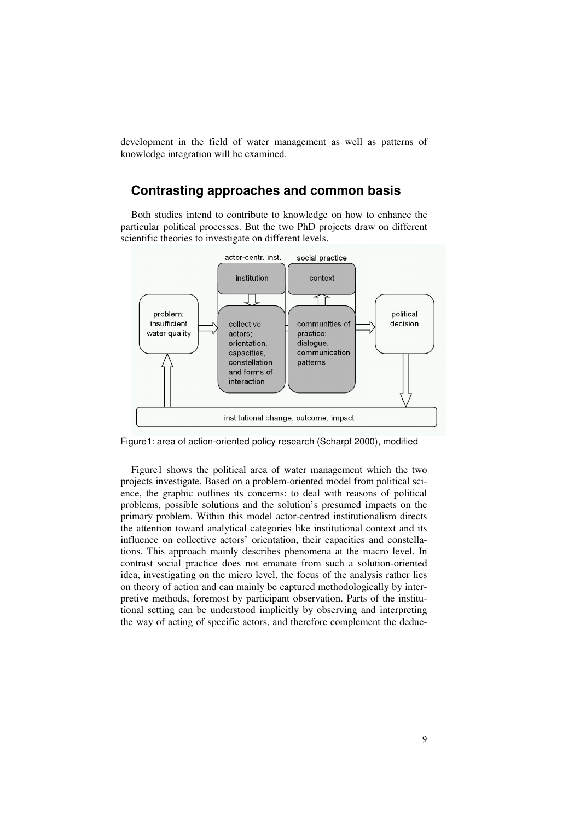development in the field of water management as well as patterns of knowledge integration will be examined.

### **Contrasting approaches and common basis**

Both studies intend to contribute to knowledge on how to enhance the particular political processes. But the two PhD projects draw on different scientific theories to investigate on different levels.



Figure1: area of action-oriented policy research (Scharpf 2000), modified

Figure1 shows the political area of water management which the two projects investigate. Based on a problem-oriented model from political science, the graphic outlines its concerns: to deal with reasons of political problems, possible solutions and the solution's presumed impacts on the primary problem. Within this model actor-centred institutionalism directs the attention toward analytical categories like institutional context and its influence on collective actors' orientation, their capacities and constellations. This approach mainly describes phenomena at the macro level. In contrast social practice does not emanate from such a solution-oriented idea, investigating on the micro level, the focus of the analysis rather lies on theory of action and can mainly be captured methodologically by interpretive methods, foremost by participant observation. Parts of the institutional setting can be understood implicitly by observing and interpreting the way of acting of specific actors, and therefore complement the deduc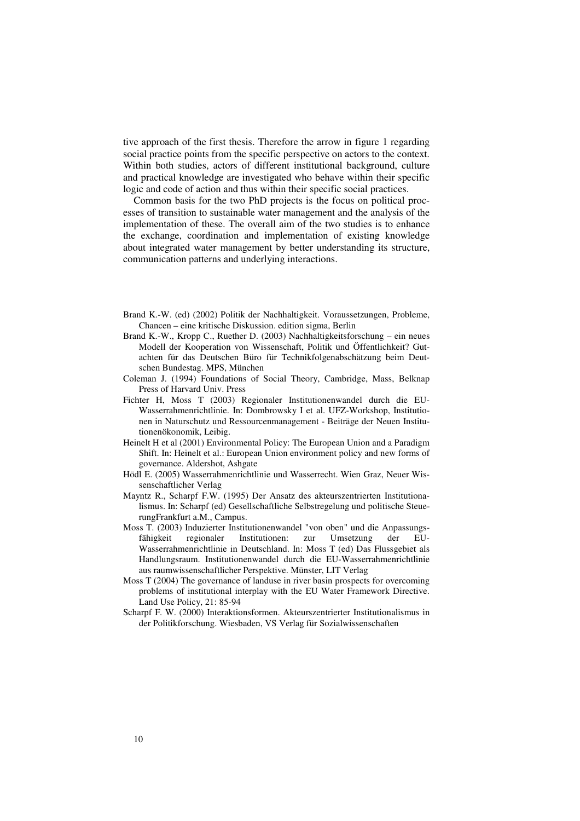tive approach of the first thesis. Therefore the arrow in figure 1 regarding social practice points from the specific perspective on actors to the context. Within both studies, actors of different institutional background, culture and practical knowledge are investigated who behave within their specific logic and code of action and thus within their specific social practices.

Common basis for the two PhD projects is the focus on political processes of transition to sustainable water management and the analysis of the implementation of these. The overall aim of the two studies is to enhance the exchange, coordination and implementation of existing knowledge about integrated water management by better understanding its structure, communication patterns and underlying interactions.

- Brand K.-W. (ed) (2002) Politik der Nachhaltigkeit. Voraussetzungen, Probleme, Chancen – eine kritische Diskussion. edition sigma, Berlin
- Brand K.-W., Kropp C., Ruether D. (2003) Nachhaltigkeitsforschung ein neues Modell der Kooperation von Wissenschaft, Politik und Öffentlichkeit? Gutachten für das Deutschen Büro für Technikfolgenabschätzung beim Deutschen Bundestag. MPS, München
- Coleman J. (1994) Foundations of Social Theory, Cambridge, Mass, Belknap Press of Harvard Univ. Press
- Fichter H, Moss T (2003) Regionaler Institutionenwandel durch die EU-Wasserrahmenrichtlinie. In: Dombrowsky I et al. UFZ-Workshop, Institutionen in Naturschutz und Ressourcenmanagement - Beiträge der Neuen Institutionenökonomik, Leibig.
- Heinelt H et al (2001) Environmental Policy: The European Union and a Paradigm Shift. In: Heinelt et al.: European Union environment policy and new forms of governance. Aldershot, Ashgate
- Hödl E. (2005) Wasserrahmenrichtlinie und Wasserrecht. Wien Graz, Neuer Wissenschaftlicher Verlag
- Mayntz R., Scharpf F.W. (1995) Der Ansatz des akteurszentrierten Institutionalismus. In: Scharpf (ed) Gesellschaftliche Selbstregelung und politische SteuerungFrankfurt a.M., Campus.
- Moss T. (2003) Induzierter Institutionenwandel "von oben" und die Anpassungsfähigkeit regionaler Institutionen: zur Umsetzung der EU-Wasserrahmenrichtlinie in Deutschland. In: Moss T (ed) Das Flussgebiet als Handlungsraum. Institutionenwandel durch die EU-Wasserrahmenrichtlinie aus raumwissenschaftlicher Perspektive. Münster, LIT Verlag
- Moss T (2004) The governance of landuse in river basin prospects for overcoming problems of institutional interplay with the EU Water Framework Directive. Land Use Policy, 21: 85-94
- Scharpf F. W. (2000) Interaktionsformen. Akteurszentrierter Institutionalismus in der Politikforschung. Wiesbaden, VS Verlag für Sozialwissenschaften